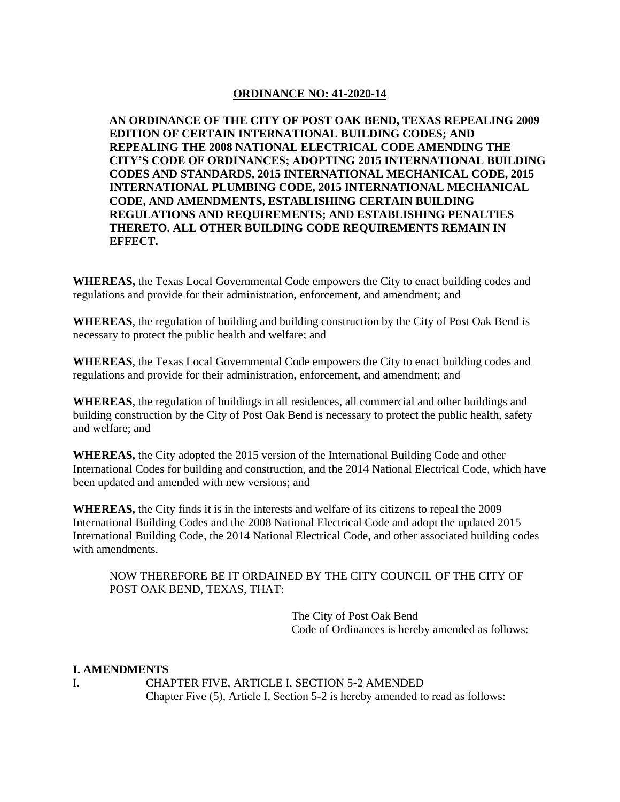## **ORDINANCE NO: 41-2020-14**

**AN ORDINANCE OF THE CITY OF POST OAK BEND, TEXAS REPEALING 2009 EDITION OF CERTAIN INTERNATIONAL BUILDING CODES; AND REPEALING THE 2008 NATIONAL ELECTRICAL CODE AMENDING THE CITY'S CODE OF ORDINANCES; ADOPTING 2015 INTERNATIONAL BUILDING CODES AND STANDARDS, 2015 INTERNATIONAL MECHANICAL CODE, 2015 INTERNATIONAL PLUMBING CODE, 2015 INTERNATIONAL MECHANICAL CODE, AND AMENDMENTS, ESTABLISHING CERTAIN BUILDING REGULATIONS AND REQUIREMENTS; AND ESTABLISHING PENALTIES THERETO. ALL OTHER BUILDING CODE REQUIREMENTS REMAIN IN EFFECT.**

**WHEREAS,** the Texas Local Governmental Code empowers the City to enact building codes and regulations and provide for their administration, enforcement, and amendment; and

**WHEREAS**, the regulation of building and building construction by the City of Post Oak Bend is necessary to protect the public health and welfare; and

**WHEREAS**, the Texas Local Governmental Code empowers the City to enact building codes and regulations and provide for their administration, enforcement, and amendment; and

**WHEREAS**, the regulation of buildings in all residences, all commercial and other buildings and building construction by the City of Post Oak Bend is necessary to protect the public health, safety and welfare; and

**WHEREAS,** the City adopted the 2015 version of the International Building Code and other International Codes for building and construction, and the 2014 National Electrical Code, which have been updated and amended with new versions; and

**WHEREAS,** the City finds it is in the interests and welfare of its citizens to repeal the 2009 International Building Codes and the 2008 National Electrical Code and adopt the updated 2015 International Building Code, the 2014 National Electrical Code, and other associated building codes with amendments.

NOW THEREFORE BE IT ORDAINED BY THE CITY COUNCIL OF THE CITY OF POST OAK BEND, TEXAS, THAT:

> The City of Post Oak Bend Code of Ordinances is hereby amended as follows:

## **I. AMENDMENTS**

I. CHAPTER FIVE, ARTICLE I, SECTION 5-2 AMENDED Chapter Five (5), Article I, Section 5-2 is hereby amended to read as follows: